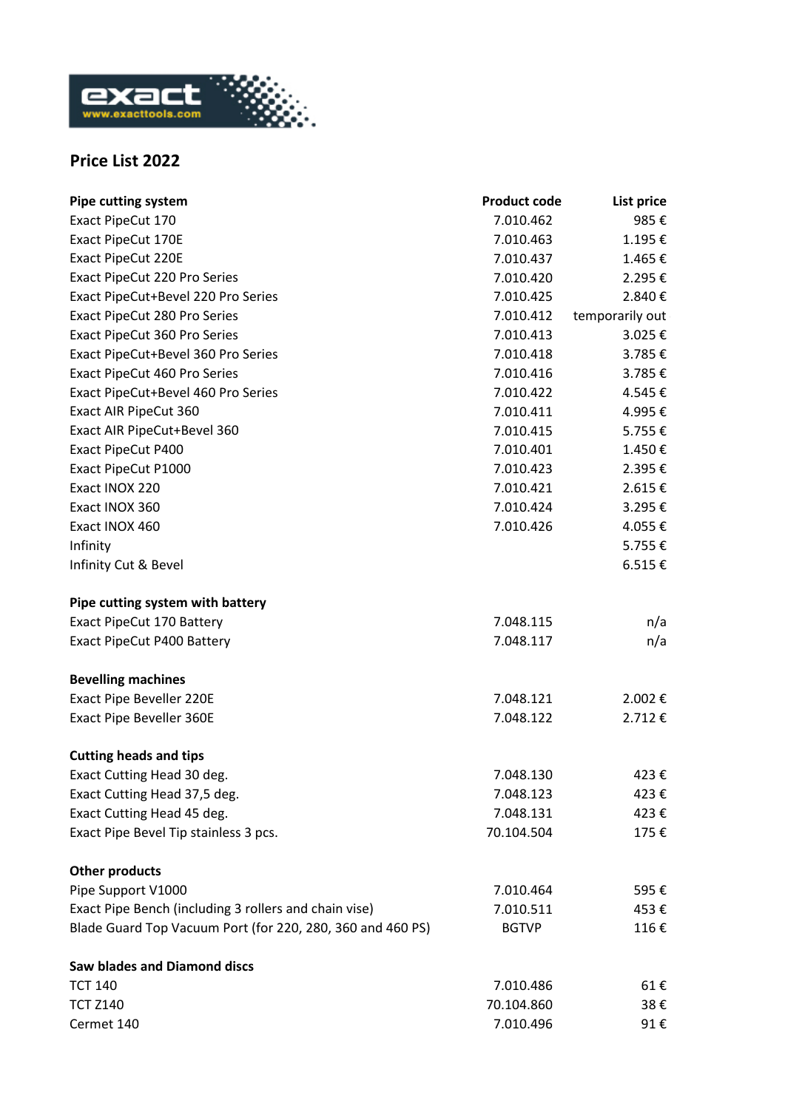

## **Price List 2022**

| <b>Pipe cutting system</b>                                 | <b>Product code</b> | List price      |
|------------------------------------------------------------|---------------------|-----------------|
| Exact PipeCut 170                                          | 7.010.462           | 985€            |
| Exact PipeCut 170E                                         | 7.010.463           | 1.195€          |
| Exact PipeCut 220E                                         | 7.010.437           | 1.465€          |
| Exact PipeCut 220 Pro Series                               | 7.010.420           | 2.295€          |
| Exact PipeCut+Bevel 220 Pro Series                         | 7.010.425           | 2.840€          |
| Exact PipeCut 280 Pro Series                               | 7.010.412           | temporarily out |
| Exact PipeCut 360 Pro Series                               | 7.010.413           | 3.025€          |
| Exact PipeCut+Bevel 360 Pro Series                         | 7.010.418           | 3.785€          |
| Exact PipeCut 460 Pro Series                               | 7.010.416           | 3.785€          |
| Exact PipeCut+Bevel 460 Pro Series                         | 7.010.422           | 4.545€          |
| Exact AIR PipeCut 360                                      | 7.010.411           | 4.995€          |
| Exact AIR PipeCut+Bevel 360                                | 7.010.415           | 5.755€          |
| Exact PipeCut P400                                         | 7.010.401           | 1.450€          |
| Exact PipeCut P1000                                        | 7.010.423           | 2.395€          |
| Exact INOX 220                                             | 7.010.421           | 2.615€          |
| Exact INOX 360                                             | 7.010.424           | 3.295€          |
| Exact INOX 460                                             | 7.010.426           | 4.055€          |
| Infinity                                                   |                     | 5.755€          |
| Infinity Cut & Bevel                                       |                     | 6.515€          |
| Pipe cutting system with battery                           |                     |                 |
| Exact PipeCut 170 Battery                                  | 7.048.115           | n/a             |
| Exact PipeCut P400 Battery                                 | 7.048.117           | n/a             |
| <b>Bevelling machines</b>                                  |                     |                 |
| Exact Pipe Beveller 220E                                   | 7.048.121           | 2.002€          |
| Exact Pipe Beveller 360E                                   | 7.048.122           | 2.712€          |
| <b>Cutting heads and tips</b>                              |                     |                 |
| Exact Cutting Head 30 deg.                                 | 7.048.130           | 423€            |
| Exact Cutting Head 37,5 deg.                               | 7.048.123           | 423€            |
| Exact Cutting Head 45 deg.                                 | 7.048.131           | 423€            |
| Exact Pipe Bevel Tip stainless 3 pcs.                      | 70.104.504          | 175€            |
| <b>Other products</b>                                      |                     |                 |
| Pipe Support V1000                                         | 7.010.464           | 595€            |
| Exact Pipe Bench (including 3 rollers and chain vise)      | 7.010.511           | 453€            |
| Blade Guard Top Vacuum Port (for 220, 280, 360 and 460 PS) | <b>BGTVP</b>        | 116€            |
| <b>Saw blades and Diamond discs</b>                        |                     |                 |
| <b>TCT 140</b>                                             | 7.010.486           | 61€             |
| <b>TCT Z140</b>                                            | 70.104.860          | 38€             |
| Cermet 140                                                 | 7.010.496           | 91€             |